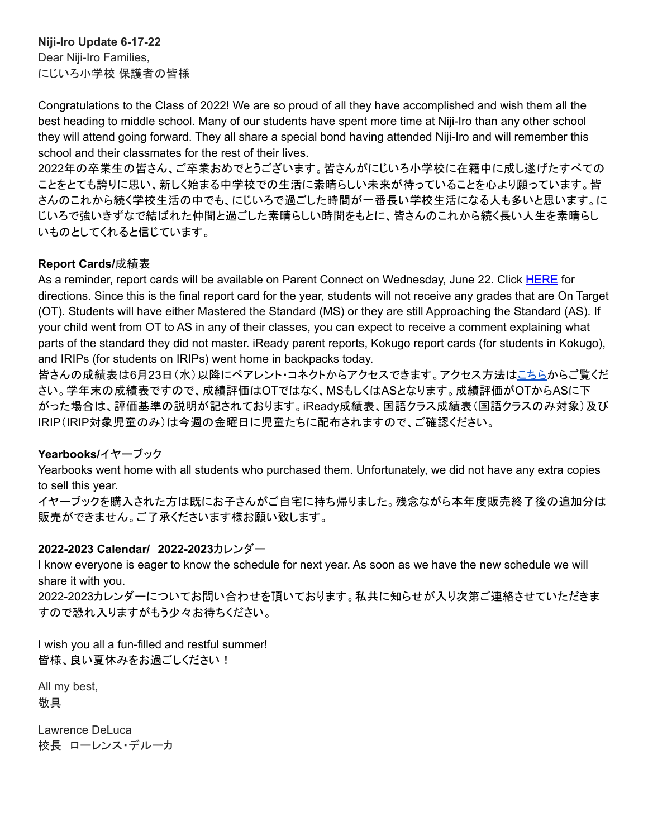# **Niji-Iro Update 6-17-22**

Dear Niji-Iro Families, にじいろ小学校 保護者の皆様

Congratulations to the Class of 2022! We are so proud of all they have accomplished and wish them all the best heading to middle school. Many of our students have spent more time at Niji-Iro than any other school they will attend going forward. They all share a special bond having attended Niji-Iro and will remember this school and their classmates for the rest of their lives.

2022年の卒業生の皆さん、ご卒業おめでとうございます。皆さんがにじいろ小学校に在籍中に成し遂げたすべての ことをとても誇りに思い、新しく始まる中学校での生活に素晴らしい未来が待っていることを心より願っています。皆 さんのこれから続く学校生活の中でも、にじいろで過ごした時間が一番長い学校生活になる人も多いと思います。に じいろで強いきずなで結ばれた仲間と過ごした素晴らしい時間をもとに、皆さんのこれから続く長い人生を素晴らし いものとしてくれると信じています。

### **Report Cards/**成績表

As a reminder, report cards will be available on Parent Connect on Wednesday, June 22. Click [HERE](https://livoniapublicschoolsorg.sharepoint.com/:w:/r/sites/elementaryprincipals/_layouts/15/Doc.aspx?sourcedoc=%7BF44045EA-A86B-4F33-8089-2663FA8A2BA1%7D&file=How%20Parents%20View%20Report%20Cards%20on%20Parent%20Connection.docx&wdOrigin=OFFICECOM-WEB.MAIN.OTHER&ct=1606837518026&action=default&mobileredirect=true) for directions. Since this is the final report card for the year, students will not receive any grades that are On Target (OT). Students will have either Mastered the Standard (MS) or they are still Approaching the Standard (AS). If your child went from OT to AS in any of their classes, you can expect to receive a comment explaining what parts of the standard they did not master. iReady parent reports, Kokugo report cards (for students in Kokugo), and IRIPs (for students on IRIPs) went home in backpacks today.

皆さんの成績表は6月23日(水)以降にペアレント・コネクトからアクセスできます。アクセス方法[はこちらか](https://livoniapublicschoolsorg.sharepoint.com/:w:/r/sites/elementaryprincipals/_layouts/15/Doc.aspx?sourcedoc=%7BF44045EA-A86B-4F33-8089-2663FA8A2BA1%7D&file=How%20Parents%20View%20Report%20Cards%20on%20Parent%20Connection.docx&wdOrigin=OFFICECOM-WEB.MAIN.OTHER&ct=1606837518026&action=default&mobileredirect=true)らご覧くだ さい。学年末の成績表ですので、成績評価はOTではなく、MSもしくはASとなります。成績評価がOTからASに下 がった場合は、評価基準の説明が記されております。iReady成績表、国語クラス成績表(国語クラスのみ対象)及び IRIP(IRIP対象児童のみ)は今週の金曜日に児童たちに配布されますので、ご確認ください。

## **Yearbooks/**イヤーブック

Yearbooks went home with all students who purchased them. Unfortunately, we did not have any extra copies to sell this year.

イヤーブックを購入された方は既にお子さんがご自宅に持ち帰りました。残念ながら本年度販売終了後の追加分は 販売ができません。ご了承くださいます様お願い致します。

## **2022-2023 Calendar/ 2022-2023**カレンダー

I know everyone is eager to know the schedule for next year. As soon as we have the new schedule we will share it with you.

2022-2023カレンダーについてお問い合わせを頂いております。私共に知らせが入り次第ご連絡させていただきま すので恐れ入りますがもう少々お待ちください。

I wish you all a fun-filled and restful summer! 皆様、良い夏休みをお過ごしください!

All my best, 敬具

Lawrence DeLuca 校長 ローレンス・デルーカ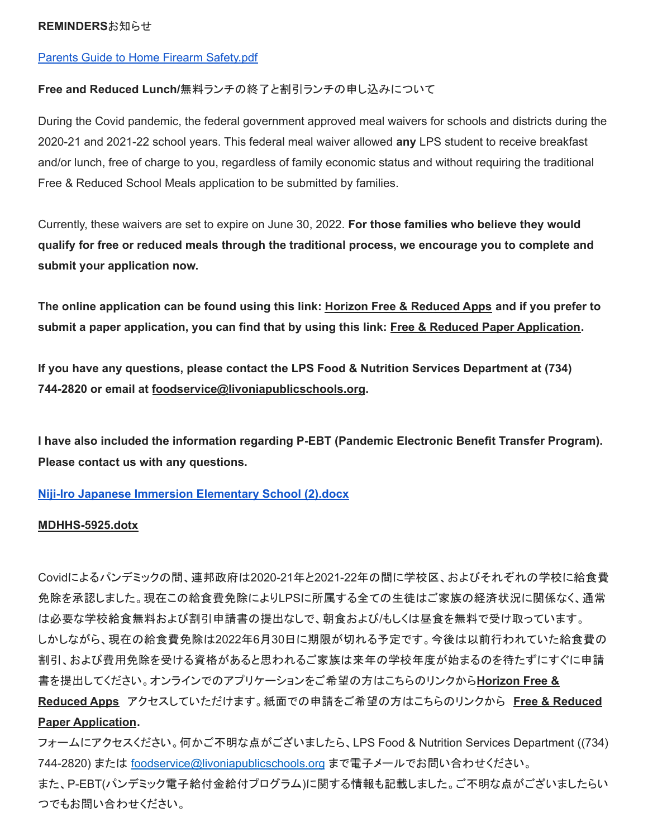#### **REMINDERS**お知らせ

### Parents Guide to Home Firearm [Safety.pdf](http://track.spe.schoolmessenger.com/f/a/BtWwSFGz3c8ncFH0dVcLyg~~/AAAAAQA~/RgRkcidSP0R1aHR0cHM6Ly9tc2cuc2Nob29sbWVzc2VuZ2VyLmNvbS9tLz9zPUFUZWRZWnY3M0o4Jm1hbD0yYjJhNWQ2M2IxNTM3YjYxOTU1NGZjNDU1OTY2ZmYzZTlhZTIwZGUzYTQ3NDM1N2E2Y2JiYmQ1MmJiN2Y0MTJkVwdzY2hvb2xtQgpijdLzkGJNcTb6UitOaWppLUlyb19QcmluY2lwYWxAbGl2b25pYXB1YmxpY3NjaG9vbHMub3JnWAQAAAAB)

#### **Free and Reduced Lunch/**無料ランチの終了と割引ランチの申し込みについて

During the Covid pandemic, the federal government approved meal waivers for schools and districts during the 2020-21 and 2021-22 school years. This federal meal waiver allowed **any** LPS student to receive breakfast and/or lunch, free of charge to you, regardless of family economic status and without requiring the traditional Free & Reduced School Meals application to be submitted by families.

Currently, these waivers are set to expire on June 30, 2022. **For those families who believe they would qualify for free or reduced meals through the traditional process, we encourage you to complete and submit your application now.**

The online application can be found using this link: Horizon Free & [Reduced](http://track.spe.schoolmessenger.com/f/a/wJG7soAPgv5Bd1k_GxHYTw~~/AAAAAQA~/RgRkVpzhP0QoaHR0cHM6Ly9mcmFwcHMuaG9yaXpvbnNvbGFuYS5jb20vd2VsY29tZVcHc2Nob29sbUIKYnBhaXViAVMeyFIgbGRlbHVjYUBsaXZvbmlhcHVibGljc2Nob29scy5vcmdYBAAAAAE~) Apps and if you prefer to submit a paper application, you can find that by using this link: Free & Reduced Paper [Application](http://track.spe.schoolmessenger.com/f/a/qHI_l2BxqEP4UIcylJbiKQ~~/AAAAAQA~/RgRkVpzhP0SWaHR0cHM6Ly93d3cubGl2b25pYXB1YmxpY3NjaG9vbHMub3JnL2Ntcy9saWIvTUk1MDAwMDQ1MS9DZW50cmljaXR5L0RvbWFpbi8yNTEvMjAyMS0yMiUyMExQUyUyMEZyZWVfYW5kX1JlZHVjZWQtcHJpY2VfYXBwbGljYXRpb25fNjUzNzg1XzclMjAwNzEyMjEucGRmVwdzY2hvb2xtQgpicGFpdWIBUx7IUiBsZGVsdWNhQGxpdm9uaWFwdWJsaWNzY2hvb2xzLm9yZ1gEAAAAAQ~~).

**If you have any questions, please contact the LPS Food & Nutrition Services Department at (734) 744-2820 or email at [foodservice@livoniapublicschools.org](mailto:foodservice@livoniapublicschools.org).**

**I have also included the information regarding P-EBT (Pandemic Electronic Benefit Transfer Program). Please contact us with any questions.**

**Niji-Iro Japanese Immersion [Elementary](http://track.spe.schoolmessenger.com/f/a/DP3zaTqA-z3v0WCmdThttw~~/AAAAAQA~/RgRkeKyMP0R1aHR0cHM6Ly9tc2cuc2Nob29sbWVzc2VuZ2VyLmNvbS9tLz9zPU1aWnprclBtczRZJm1hbD0zOTA5ZDg0MWJjMDY2NzI1YTNiMWZmMWE0M2ZkZTUyNTA4ZDhiZGZhMjM3MWQ3ZjNlNGFkNWU4YzUwYTY0YzBlVwdzY2hvb2xtQgpihgx5l2JkZMUTUitOaWppLUlyb19QcmluY2lwYWxAbGl2b25pYXB1YmxpY3NjaG9vbHMub3JnWAQAAAAB) School (2).docx**

#### **[MDHHS-5925.dotx](http://track.spe.schoolmessenger.com/f/a/7TMlFDvOxH7u2YKLxl3LMA~~/AAAAAQA~/RgRkWoTVP4RHAWh0dHA6Ly90cmFjay5zcGUuc2Nob29sbWVzc2VuZ2VyLmNvbS9mL2EveVBFaW03MXNtbHNOOEt1SXVWOE4wUX5-L0FBQUFBUUF-L1JnUmtXa3dGUDBSMWFIUjBjSE02THk5dGMyY3VjMk5vYjI5c2JXVnpjMlZ1WjJWeUxtTnZiUzl0THo5elBXWkVhRzFwZVVvMlUxTkpKbTFoYkQweFpXTm1abVZqTlRabU1HRTFNVE0wTjJZNFlUTTNZbVZrWXprek5HTTBNMlZrWVdRM056UTFOR1l4TVRBMFpUZzNNVGd5TkRnelpqUTROelU0TnpVMVZ3ZHpZMmh2YjJ4dFFncGljSVVZZVdJQlU0UDRVaUJzWkdWc2RXTmhRR3hwZG05dWFXRndkV0pzYVdOelkyaHZiMnh6TG05eVoxZ0VBQUFBQVF-flcHc2Nob29sbUIKYm9VUXli_5j50VIgbGRlbHVjYUBsaXZvbmlhcHVibGljc2Nob29scy5vcmdYBAAAAAE~)**

Covidによるパンデミックの間、連邦政府は2020-21年と2021-22年の間に学校区、およびそれぞれの学校に給食費 免除を承認しました。現在この給食費免除によりLPSに所属する全ての生徒はご家族の経済状況に関係なく、通常 は必要な学校給食無料および割引申請書の提出なしで、朝食および/もしくは昼食を無料で受け取っています。 しかしながら、現在の給食費免除は2022年6月30日に期限が切れる予定です。今後は以前行われていた給食費の 割引、および費用免除を受ける資格があると思われるご家族は来年の学校年度が始まるのを待たずにすぐに申請 書を提出してください。オンラインでのアプリケーションをご希望の方はこちらのリンクから**[Horizon](http://track.spe.schoolmessenger.com/f/a/wJG7soAPgv5Bd1k_GxHYTw~~/AAAAAQA~/RgRkVpzhP0QoaHR0cHM6Ly9mcmFwcHMuaG9yaXpvbnNvbGFuYS5jb20vd2VsY29tZVcHc2Nob29sbUIKYnBhaXViAVMeyFIgbGRlbHVjYUBsaXZvbmlhcHVibGljc2Nob29scy5vcmdYBAAAAAE~) Free &**

**[Reduced](http://track.spe.schoolmessenger.com/f/a/wJG7soAPgv5Bd1k_GxHYTw~~/AAAAAQA~/RgRkVpzhP0QoaHR0cHM6Ly9mcmFwcHMuaG9yaXpvbnNvbGFuYS5jb20vd2VsY29tZVcHc2Nob29sbUIKYnBhaXViAVMeyFIgbGRlbHVjYUBsaXZvbmlhcHVibGljc2Nob29scy5vcmdYBAAAAAE~) Apps** アクセスしていただけます。紙面での申請をご希望の方はこちらのリンクから **Free & [Reduced](http://track.spe.schoolmessenger.com/f/a/qHI_l2BxqEP4UIcylJbiKQ~~/AAAAAQA~/RgRkVpzhP0SWaHR0cHM6Ly93d3cubGl2b25pYXB1YmxpY3NjaG9vbHMub3JnL2Ntcy9saWIvTUk1MDAwMDQ1MS9DZW50cmljaXR5L0RvbWFpbi8yNTEvMjAyMS0yMiUyMExQUyUyMEZyZWVfYW5kX1JlZHVjZWQtcHJpY2VfYXBwbGljYXRpb25fNjUzNzg1XzclMjAwNzEyMjEucGRmVwdzY2hvb2xtQgpicGFpdWIBUx7IUiBsZGVsdWNhQGxpdm9uaWFwdWJsaWNzY2hvb2xzLm9yZ1gEAAAAAQ~~) Paper [Application](http://track.spe.schoolmessenger.com/f/a/qHI_l2BxqEP4UIcylJbiKQ~~/AAAAAQA~/RgRkVpzhP0SWaHR0cHM6Ly93d3cubGl2b25pYXB1YmxpY3NjaG9vbHMub3JnL2Ntcy9saWIvTUk1MDAwMDQ1MS9DZW50cmljaXR5L0RvbWFpbi8yNTEvMjAyMS0yMiUyMExQUyUyMEZyZWVfYW5kX1JlZHVjZWQtcHJpY2VfYXBwbGljYXRpb25fNjUzNzg1XzclMjAwNzEyMjEucGRmVwdzY2hvb2xtQgpicGFpdWIBUx7IUiBsZGVsdWNhQGxpdm9uaWFwdWJsaWNzY2hvb2xzLm9yZ1gEAAAAAQ~~).**

フォームにアクセスください。何かご不明な点がございましたら、LPS Food & Nutrition Services Department ((734) 744-2820) または foodservice@livoniapublicschools.org まで電子メールでお問い合わせください。 また、P-EBT(パンデミック電子給付金給付プログラム)に関する情報も記載しました。ご不明な点がございましたらい つでもお問い合わせください。